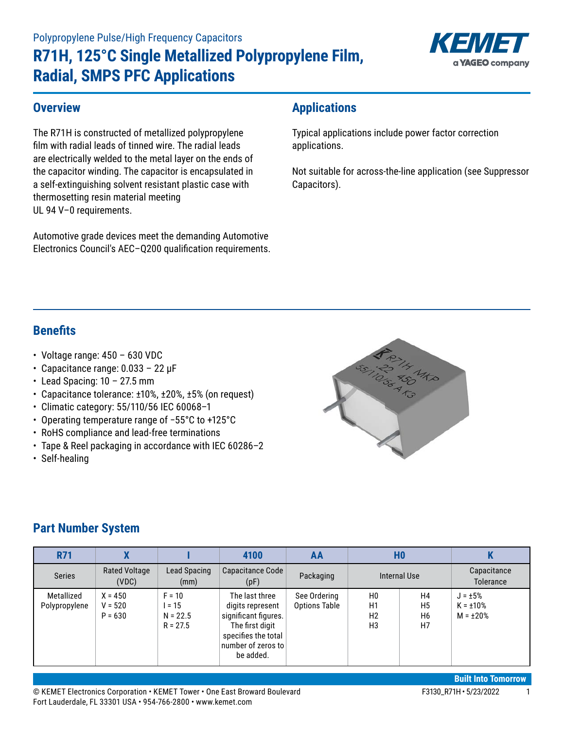# **R71H, 125°C Single Metallized Polypropylene Film, Radial, SMPS PFC Applications**



#### **Overview**

The R71H is constructed of metallized polypropylene film with radial leads of tinned wire. The radial leads are electrically welded to the metal layer on the ends of the capacitor winding. The capacitor is encapsulated in a self-extinguishing solvent resistant plastic case with thermosetting resin material meeting UL 94 V–0 requirements.

Automotive grade devices meet the demanding Automotive Electronics Council's AEC–Q200 qualification requirements.

# **Applications**

Typical applications include power factor correction applications.

Not suitable for across-the-line application (see Suppressor Capacitors).

### **Benefits**

- Voltage range: 450 630 VDC
- Capacitance range: 0.033 22 µF
- $\cdot$  Lead Spacing: 10 27.5 mm
- Capacitance tolerance: ±10%, ±20%, ±5% (on request)
- Climatic category: 55/110/56 IEC 60068–1
- • Operating temperature range of −55°C to +125°C
- RoHS compliance and lead-free terminations
- Tape & Reel packaging in accordance with IEC 60286–2
- Self-healing



### **Part Number System**

| <b>R71</b>                  |                                     |                                                | 4100                                                                                                                                    | AA                                   | H <sub>0</sub>                               |                                                          | n                                                 |
|-----------------------------|-------------------------------------|------------------------------------------------|-----------------------------------------------------------------------------------------------------------------------------------------|--------------------------------------|----------------------------------------------|----------------------------------------------------------|---------------------------------------------------|
| <b>Series</b>               | <b>Rated Voltage</b><br>(VDC)       | Lead Spacing<br>(mm)                           | Capacitance Code<br>(pF)                                                                                                                | Packaging                            | Internal Use                                 |                                                          | Capacitance<br><b>Tolerance</b>                   |
| Metallized<br>Polypropylene | $X = 450$<br>$V = 520$<br>$P = 630$ | $F = 10$<br>l = 15<br>$N = 22.5$<br>$R = 27.5$ | The last three<br>digits represent<br>significant figures.<br>The first digit<br>specifies the total<br>number of zeros to<br>be added. | See Ordering<br><b>Options Table</b> | H <sub>0</sub><br>H1<br>H <sub>2</sub><br>H3 | H4<br>H <sub>5</sub><br>H <sub>6</sub><br>H <sub>7</sub> | $J = \pm 5\%$<br>$K = \pm 10\%$<br>$M = \pm 20\%$ |

© KEMET Electronics Corporation • KEMET Tower • One East Broward Boulevard Face Face Face Face F3130\_R71H • 5/23/2022 1 Fort Lauderdale, FL 33301 USA • 954-766-2800 • www.kemet.com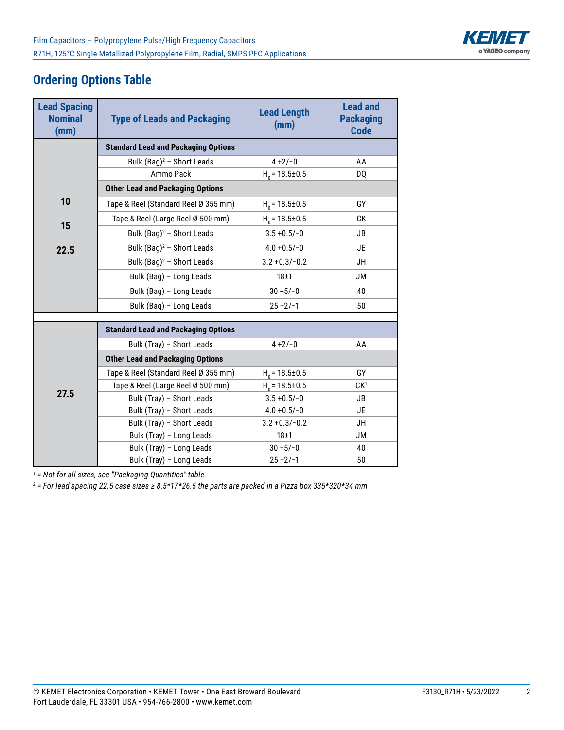

# **Ordering Options Table**

| <b>Lead Spacing</b><br><b>Nominal</b><br>(mm) | <b>Type of Leads and Packaging</b>         | <b>Lead Length</b><br>(mm) | <b>Lead and</b><br><b>Packaging</b><br><b>Code</b> |
|-----------------------------------------------|--------------------------------------------|----------------------------|----------------------------------------------------|
|                                               | <b>Standard Lead and Packaging Options</b> |                            |                                                    |
|                                               | Bulk (Bag) <sup>2</sup> - Short Leads      | $4 + 2/-0$                 | AA                                                 |
|                                               | Ammo Pack                                  | $H0$ = 18.5±0.5            | DO                                                 |
|                                               | <b>Other Lead and Packaging Options</b>    |                            |                                                    |
| 10                                            | Tape & Reel (Standard Reel Ø 355 mm)       | $H_0 = 18.5 \pm 0.5$       | GY                                                 |
| 15                                            | Tape & Reel (Large Reel Ø 500 mm)          | $H_0 = 18.5 \pm 0.5$       | СK                                                 |
|                                               | Bulk (Bag) <sup>2</sup> - Short Leads      | $3.5 + 0.5/- 0$            | <b>JB</b>                                          |
| 22.5                                          | Bulk $(Bag)^2$ - Short Leads               | $4.0 + 0.5/-0$             | JE                                                 |
|                                               | Bulk (Bag) <sup>2</sup> - Short Leads      | $3.2 + 0.3/- 0.2$          | JH                                                 |
|                                               | Bulk (Bag) - Long Leads                    | 18±1                       | JM                                                 |
|                                               | Bulk (Bag) - Long Leads                    | $30 + 5/-0$                | 40                                                 |
|                                               | Bulk (Bag) - Long Leads                    | $25 + 2/-1$                | 50                                                 |
|                                               |                                            |                            |                                                    |
|                                               | <b>Standard Lead and Packaging Options</b> |                            |                                                    |
|                                               | Bulk (Tray) - Short Leads                  | $4 + 2/-0$                 | AA                                                 |
|                                               | <b>Other Lead and Packaging Options</b>    |                            |                                                    |
|                                               | Tape & Reel (Standard Reel Ø 355 mm)       | $H0$ = 18.5±0.5            | GY                                                 |
|                                               | Tape & Reel (Large Reel Ø 500 mm)          | $H_0 = 18.5 \pm 0.5$       | CK <sup>1</sup>                                    |
| 27.5                                          | Bulk (Tray) - Short Leads                  | $3.5 + 0.5/- 0$            | JB                                                 |
|                                               | Bulk (Tray) - Short Leads                  | $4.0 + 0.5/-0$             | <b>JE</b>                                          |
|                                               | Bulk (Tray) - Short Leads                  | $3.2 + 0.3/- 0.2$          | <b>JH</b>                                          |
|                                               | Bulk (Tray) - Long Leads                   | 18±1                       | JМ                                                 |
|                                               | Bulk (Tray) - Long Leads                   | $30 + 5/-0$                | 40                                                 |
|                                               | Bulk (Tray) - Long Leads                   | $25 + 2/-1$                | 50                                                 |

*1 = Not for all sizes, see "Packaging Quantities" table.*

*2 = For lead spacing 22.5 case sizes ≥ 8.5\*17\*26.5 the parts are packed in a Pizza box 335\*320\*34 mm*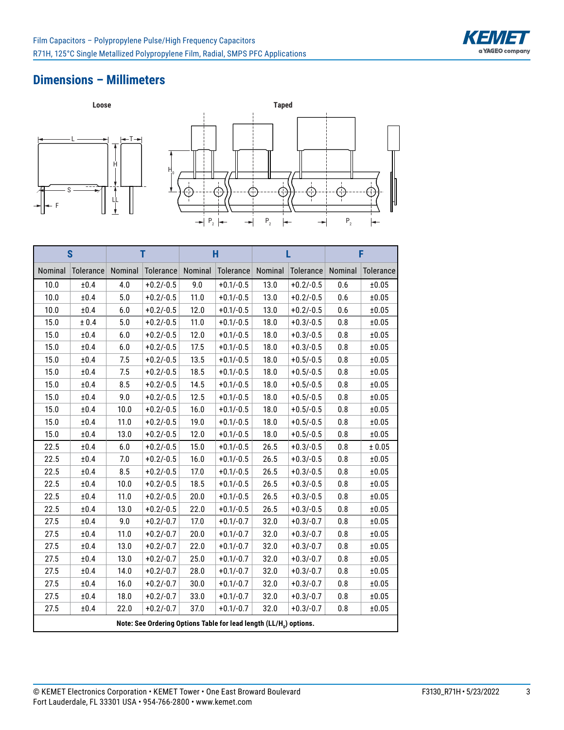

#### **Dimensions – Millimeters**



|         | S         |         | T                                                                              |         | H           |         |                   |         | F         |
|---------|-----------|---------|--------------------------------------------------------------------------------|---------|-------------|---------|-------------------|---------|-----------|
| Nominal | Tolerance | Nominal | Tolerance                                                                      | Nominal | Tolerance   | Nominal | Tolerance Nominal |         | Tolerance |
| 10.0    | ±0.4      | 4.0     | $+0.2/-0.5$                                                                    | 9.0     | $+0.1/-0.5$ | 13.0    | $+0.2/-0.5$       | 0.6     | ±0.05     |
| 10.0    | ±0.4      | 5.0     | $+0.2/-0.5$                                                                    | 11.0    | $+0.1/-0.5$ | 13.0    | $+0.2/-0.5$       | 0.6     | ±0.05     |
| 10.0    | ±0.4      | 6.0     | $+0.2/-0.5$                                                                    | 12.0    | $+0.1/-0.5$ | 13.0    | $+0.2/-0.5$       | 0.6     | ±0.05     |
| 15.0    | ± 0.4     | 5.0     | $+0.2/-0.5$                                                                    | 11.0    | $+0.1/-0.5$ | 18.0    | $+0.3/-0.5$       | 0.8     | ±0.05     |
| 15.0    | $\pm 0.4$ | 6.0     | $+0.2/-0.5$                                                                    | 12.0    | $+0.1/-0.5$ | 18.0    | $+0.3/-0.5$       | 0.8     | ±0.05     |
| 15.0    | $\pm 0.4$ | $6.0\,$ | $+0.2/-0.5$                                                                    | 17.5    | $+0.1/-0.5$ | 18.0    | $+0.3/-0.5$       | 0.8     | ±0.05     |
| 15.0    | ±0.4      | 7.5     | $+0.2/-0.5$                                                                    | 13.5    | $+0.1/-0.5$ | 18.0    | $+0.5/-0.5$       | 0.8     | ±0.05     |
| 15.0    | ±0.4      | 7.5     | $+0.2/-0.5$                                                                    | 18.5    | $+0.1/-0.5$ | 18.0    | $+0.5/-0.5$       | 0.8     | ±0.05     |
| 15.0    | ±0.4      | 8.5     | $+0.2/-0.5$                                                                    | 14.5    | $+0.1/-0.5$ | 18.0    | $+0.5/-0.5$       | 0.8     | ±0.05     |
| 15.0    | ±0.4      | 9.0     | $+0.2/-0.5$                                                                    | 12.5    | $+0.1/-0.5$ | 18.0    | $+0.5/-0.5$       | $0.8\,$ | ±0.05     |
| 15.0    | ±0.4      | 10.0    | $+0.2/-0.5$                                                                    | 16.0    | $+0.1/-0.5$ | 18.0    | $+0.5/-0.5$       | 0.8     | ±0.05     |
| 15.0    | ±0.4      | 11.0    | $+0.2/-0.5$                                                                    | 19.0    | $+0.1/-0.5$ | 18.0    | $+0.5/-0.5$       | 0.8     | ±0.05     |
| 15.0    | ±0.4      | 13.0    | $+0.2/-0.5$                                                                    | 12.0    | $+0.1/-0.5$ | 18.0    | $+0.5/-0.5$       | 0.8     | ±0.05     |
| 22.5    | ±0.4      | 6.0     | $+0.2/-0.5$                                                                    | 15.0    | $+0.1/-0.5$ | 26.5    | $+0.3/-0.5$       | 0.8     | ± 0.05    |
| 22.5    | ±0.4      | 7.0     | $+0.2/-0.5$                                                                    | 16.0    | $+0.1/-0.5$ | 26.5    | $+0.3/-0.5$       | 0.8     | ±0.05     |
| 22.5    | $\pm 0.4$ | 8.5     | $+0.2/-0.5$                                                                    | 17.0    | $+0.1/-0.5$ | 26.5    | $+0.3/-0.5$       | 0.8     | ±0.05     |
| 22.5    | ±0.4      | 10.0    | $+0.2/-0.5$                                                                    | 18.5    | $+0.1/-0.5$ | 26.5    | $+0.3/-0.5$       | 0.8     | ±0.05     |
| 22.5    | ±0.4      | 11.0    | $+0.2/-0.5$                                                                    | 20.0    | $+0.1/-0.5$ | 26.5    | $+0.3/-0.5$       | 0.8     | ±0.05     |
| 22.5    | ±0.4      | 13.0    | $+0.2/-0.5$                                                                    | 22.0    | $+0.1/-0.5$ | 26.5    | $+0.3/-0.5$       | 0.8     | ±0.05     |
| 27.5    | ±0.4      | 9.0     | $+0.2/-0.7$                                                                    | 17.0    | $+0.1/-0.7$ | 32.0    | $+0.3/-0.7$       | 0.8     | ±0.05     |
| 27.5    | ±0.4      | 11.0    | $+0.2/-0.7$                                                                    | 20.0    | $+0.1/-0.7$ | 32.0    | $+0.3/-0.7$       | 0.8     | ±0.05     |
| 27.5    | ±0.4      | 13.0    | $+0.2/-0.7$                                                                    | 22.0    | $+0.1/-0.7$ | 32.0    | $+0.3/-0.7$       | 0.8     | ±0.05     |
| 27.5    | ±0.4      | 13.0    | $+0.2/-0.7$                                                                    | 25.0    | $+0.1/-0.7$ | 32.0    | $+0.3/-0.7$       | 0.8     | ±0.05     |
| 27.5    | $\pm 0.4$ | 14.0    | $+0.2/-0.7$                                                                    | 28.0    | $+0.1/-0.7$ | 32.0    | $+0.3/-0.7$       | $0.8\,$ | ±0.05     |
| 27.5    | ±0.4      | 16.0    | $+0.2/-0.7$                                                                    | 30.0    | $+0.1/-0.7$ | 32.0    | $+0.3/-0.7$       | 0.8     | ±0.05     |
| 27.5    | ±0.4      | 18.0    | $+0.2/-0.7$                                                                    | 33.0    | $+0.1/-0.7$ | 32.0    | $+0.3/-0.7$       | 0.8     | ±0.05     |
| 27.5    | ±0.4      | 22.0    | $+0.2/-0.7$                                                                    | 37.0    | $+0.1/-0.7$ | 32.0    | $+0.3/-0.7$       | 0.8     | ±0.05     |
|         |           |         | Note: See Ordering Options Table for lead length (LL/H <sub>a</sub> ) options. |         |             |         |                   |         |           |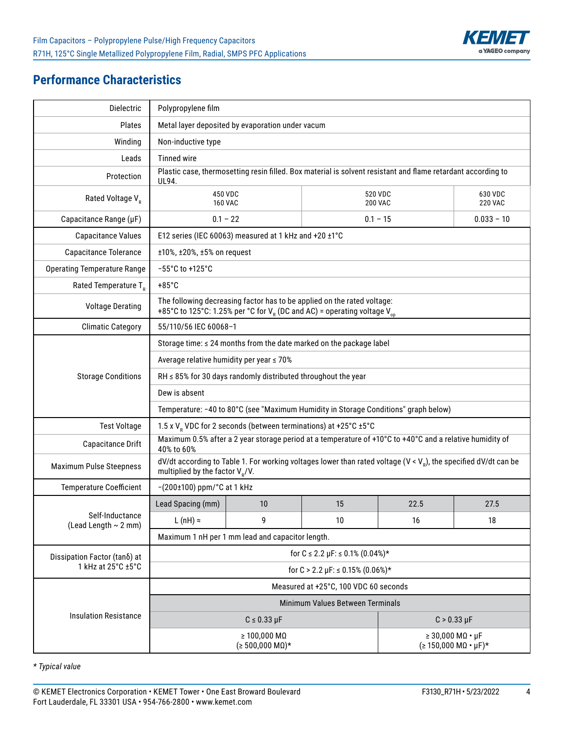

## **Performance Characteristics**

| Dielectric                                   | Polypropylene film                                                 |                                                                                                                                                            |                                                                                     |                                                                                                                             |                           |  |  |  |  |  |  |  |
|----------------------------------------------|--------------------------------------------------------------------|------------------------------------------------------------------------------------------------------------------------------------------------------------|-------------------------------------------------------------------------------------|-----------------------------------------------------------------------------------------------------------------------------|---------------------------|--|--|--|--|--|--|--|
| <b>Plates</b>                                |                                                                    | Metal layer deposited by evaporation under vacum                                                                                                           |                                                                                     |                                                                                                                             |                           |  |  |  |  |  |  |  |
| Winding                                      | Non-inductive type                                                 |                                                                                                                                                            |                                                                                     |                                                                                                                             |                           |  |  |  |  |  |  |  |
| Leads                                        | <b>Tinned wire</b>                                                 |                                                                                                                                                            |                                                                                     |                                                                                                                             |                           |  |  |  |  |  |  |  |
| Protection                                   | UL94.                                                              |                                                                                                                                                            |                                                                                     | Plastic case, thermosetting resin filled. Box material is solvent resistant and flame retardant according to                |                           |  |  |  |  |  |  |  |
| Rated Voltage V <sub>R</sub>                 | 450 VDC<br><b>160 VAC</b>                                          |                                                                                                                                                            |                                                                                     | 520 VDC<br><b>200 VAC</b>                                                                                                   | 630 VDC<br><b>220 VAC</b> |  |  |  |  |  |  |  |
| Capacitance Range (µF)                       |                                                                    | $0.1 - 22$<br>$0.1 - 15$<br>$0.033 - 10$                                                                                                                   |                                                                                     |                                                                                                                             |                           |  |  |  |  |  |  |  |
| <b>Capacitance Values</b>                    |                                                                    | E12 series (IEC 60063) measured at 1 kHz and +20 ±1°C                                                                                                      |                                                                                     |                                                                                                                             |                           |  |  |  |  |  |  |  |
| Capacitance Tolerance                        | ±10%, ±20%, ±5% on request                                         |                                                                                                                                                            |                                                                                     |                                                                                                                             |                           |  |  |  |  |  |  |  |
| <b>Operating Temperature Range</b>           | -55°C to +125°C                                                    |                                                                                                                                                            |                                                                                     |                                                                                                                             |                           |  |  |  |  |  |  |  |
| Rated Temperature $T_R$                      | $+85^{\circ}$ C                                                    |                                                                                                                                                            |                                                                                     |                                                                                                                             |                           |  |  |  |  |  |  |  |
| <b>Voltage Derating</b>                      |                                                                    | The following decreasing factor has to be applied on the rated voltage:<br>+85°C to 125°C: 1.25% per °C for $V_R$ (DC and AC) = operating voltage $V_{00}$ |                                                                                     |                                                                                                                             |                           |  |  |  |  |  |  |  |
| <b>Climatic Category</b>                     |                                                                    | 55/110/56 IEC 60068-1                                                                                                                                      |                                                                                     |                                                                                                                             |                           |  |  |  |  |  |  |  |
|                                              |                                                                    | Storage time: ≤ 24 months from the date marked on the package label                                                                                        |                                                                                     |                                                                                                                             |                           |  |  |  |  |  |  |  |
|                                              | Average relative humidity per year ≤ 70%                           |                                                                                                                                                            |                                                                                     |                                                                                                                             |                           |  |  |  |  |  |  |  |
| <b>Storage Conditions</b>                    | RH $\leq$ 85% for 30 days randomly distributed throughout the year |                                                                                                                                                            |                                                                                     |                                                                                                                             |                           |  |  |  |  |  |  |  |
|                                              | Dew is absent                                                      |                                                                                                                                                            |                                                                                     |                                                                                                                             |                           |  |  |  |  |  |  |  |
|                                              |                                                                    |                                                                                                                                                            | Temperature: -40 to 80°C (see "Maximum Humidity in Storage Conditions" graph below) |                                                                                                                             |                           |  |  |  |  |  |  |  |
| <b>Test Voltage</b>                          |                                                                    |                                                                                                                                                            | 1.5 x V <sub>R</sub> VDC for 2 seconds (between terminations) at +25°C ±5°C         |                                                                                                                             |                           |  |  |  |  |  |  |  |
| Capacitance Drift                            | 40% to 60%                                                         |                                                                                                                                                            |                                                                                     | Maximum 0.5% after a 2 year storage period at a temperature of +10°C to +40°C and a relative humidity of                    |                           |  |  |  |  |  |  |  |
| <b>Maximum Pulse Steepness</b>               | multiplied by the factor $V_{R}/V$ .                               |                                                                                                                                                            |                                                                                     | dV/dt according to Table 1. For working voltages lower than rated voltage (V < V <sub>n</sub> ), the specified dV/dt can be |                           |  |  |  |  |  |  |  |
| <b>Temperature Coefficient</b>               | $-(200\pm100)$ ppm/ $^{\circ}$ C at 1 kHz                          |                                                                                                                                                            |                                                                                     |                                                                                                                             |                           |  |  |  |  |  |  |  |
|                                              | Lead Spacing (mm)                                                  | 10                                                                                                                                                         | 15                                                                                  | 22.5                                                                                                                        | 27.5                      |  |  |  |  |  |  |  |
| Self-Inductance<br>(Lead Length $\sim$ 2 mm) | L (nH) $\approx$                                                   | 9                                                                                                                                                          | 10                                                                                  | 16                                                                                                                          | 18                        |  |  |  |  |  |  |  |
|                                              |                                                                    | Maximum 1 nH per 1 mm lead and capacitor length.                                                                                                           |                                                                                     |                                                                                                                             |                           |  |  |  |  |  |  |  |
| Dissipation Factor (tano) at                 |                                                                    |                                                                                                                                                            | for $C \le 2.2 \mu F \le 0.1\% (0.04\%)*$                                           |                                                                                                                             |                           |  |  |  |  |  |  |  |
| 1 kHz at 25°C ±5°C                           | for $C > 2.2 \mu F$ : $\leq 0.15\% (0.06\%)^*$                     |                                                                                                                                                            |                                                                                     |                                                                                                                             |                           |  |  |  |  |  |  |  |
|                                              |                                                                    |                                                                                                                                                            | Measured at +25°C, 100 VDC 60 seconds                                               |                                                                                                                             |                           |  |  |  |  |  |  |  |
|                                              |                                                                    |                                                                                                                                                            | Minimum Values Between Terminals                                                    |                                                                                                                             |                           |  |  |  |  |  |  |  |
| <b>Insulation Resistance</b>                 |                                                                    | $C \leq 0.33 \mu F$                                                                                                                                        |                                                                                     | $C > 0.33 \mu F$                                                                                                            |                           |  |  |  |  |  |  |  |
|                                              |                                                                    | $\geq 100,000$ M $\Omega$<br>$( \ge 500,000 \text{ M}\Omega )*$                                                                                            |                                                                                     | $\geq$ 30,000 MQ $\cdot$ µF<br>$( \geq 150,000 \text{ M}\Omega \cdot \mu \text{F})^*$                                       |                           |  |  |  |  |  |  |  |

*\* Typical value*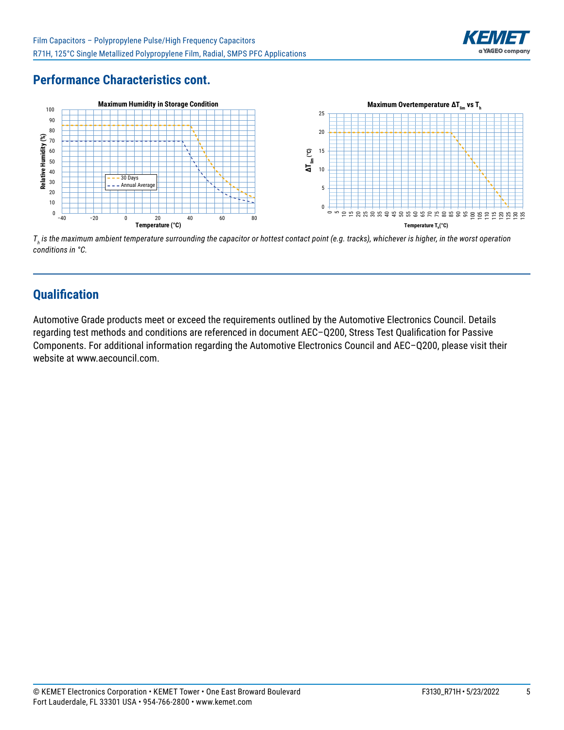

# **Performance Characteristics cont.**



*Th is the maximum ambient temperature surrounding the capacitor or hottest contact point (e.g. tracks), whichever is higher, in the worst operation conditions in °C.*

### **Qualification**

Automotive Grade products meet or exceed the requirements outlined by the Automotive Electronics Council. Details regarding test methods and conditions are referenced in document AEC–Q200, Stress Test Qualification for Passive Components. For additional information regarding the Automotive Electronics Council and AEC–Q200, please visit their website at www.aecouncil.com.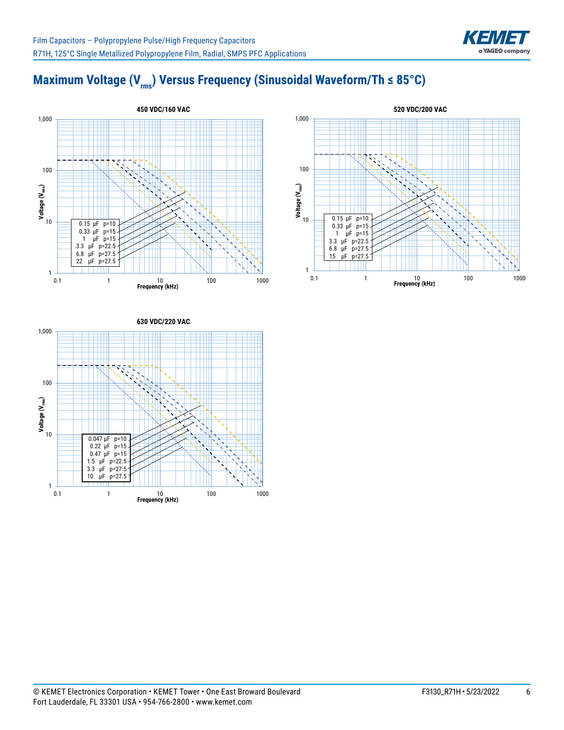

# **Maximum Voltage (V<sub>rms</sub>) Versus Frequency (Sinusoidal Waveform/Th ≤ 85°C)**





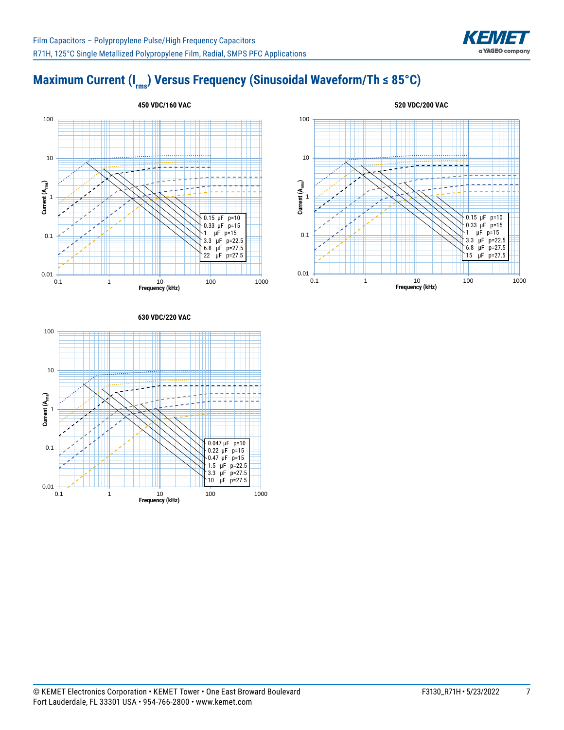

# Maximum Current (I<sub>rms</sub>) Versus Frequency (Sinusoidal Waveform/Th ≤ 85°C)





#### **630 VDC/220 VAC**

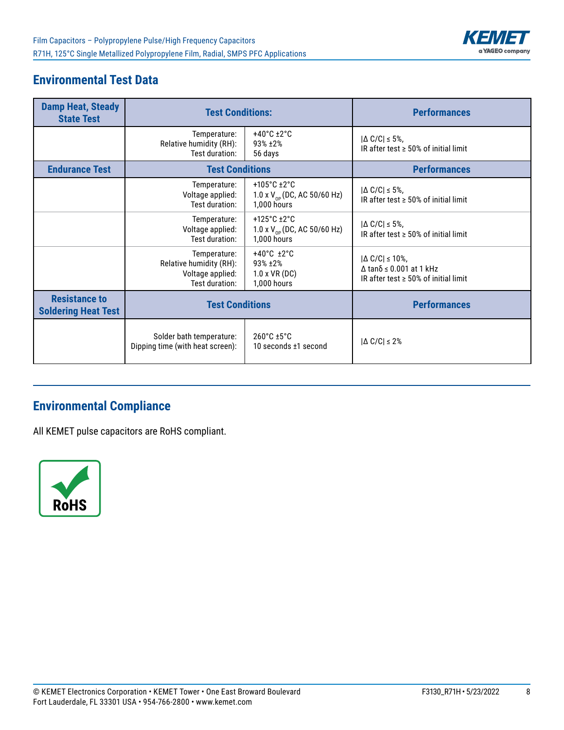

# **Environmental Test Data**

| <b>Damp Heat, Steady</b><br><b>State Test</b>      | <b>Test Conditions:</b>                                                       |                                                                                             | <b>Performances</b>                                                                                                     |
|----------------------------------------------------|-------------------------------------------------------------------------------|---------------------------------------------------------------------------------------------|-------------------------------------------------------------------------------------------------------------------------|
|                                                    | Temperature:<br>Relative humidity (RH):<br>Test duration:                     | $+40^{\circ}$ C $\pm 2^{\circ}$ C<br>93% ±2%<br>56 days                                     | $ \Delta C/C  \leq 5\%$ ,<br>IR after test $\geq$ 50% of initial limit                                                  |
| <b>Endurance Test</b>                              | <b>Test Conditions</b>                                                        |                                                                                             | <b>Performances</b>                                                                                                     |
|                                                    | Temperature:<br>Voltage applied:<br>Test duration:                            | +105 $^{\circ}$ C +2 $^{\circ}$ C<br>1.0 x $V_{\text{op}}$ (DC, AC 50/60 Hz)<br>1,000 hours | $ \Delta C/C  \leq 5\%$ ,<br>IR after test $\geq 50\%$ of initial limit                                                 |
|                                                    | Temperature:<br>Voltage applied:<br>Test duration:                            | $+125^{\circ}$ C $\pm 2^{\circ}$ C<br>1.0 x $V_{_{OP}}$ (DC, AC 50/60 Hz)<br>1,000 hours    | $ \Delta C/C  \leq 5\%$ ,<br>IR after test $\geq$ 50% of initial limit                                                  |
|                                                    | Temperature:<br>Relative humidity (RH):<br>Voltage applied:<br>Test duration: | $+40^{\circ}$ C $\pm 2^{\circ}$ C<br>$93\% + 2\%$<br>$1.0 x VR$ (DC)<br>1,000 hours         | $ \Delta C/C  \leq 10\%$ ,<br>$\Delta$ tan $\delta$ $\leq$ 0.001 at 1 kHz<br>IR after test $\geq 50\%$ of initial limit |
| <b>Resistance to</b><br><b>Soldering Heat Test</b> | <b>Test Conditions</b>                                                        |                                                                                             | <b>Performances</b>                                                                                                     |
|                                                    | Solder bath temperature:<br>Dipping time (with heat screen):                  | $260^{\circ}$ C $\pm 5^{\circ}$ C<br>10 seconds ±1 second                                   | $ \Delta C/C  \leq 2\%$                                                                                                 |

# **Environmental Compliance**

All KEMET pulse capacitors are RoHS compliant.

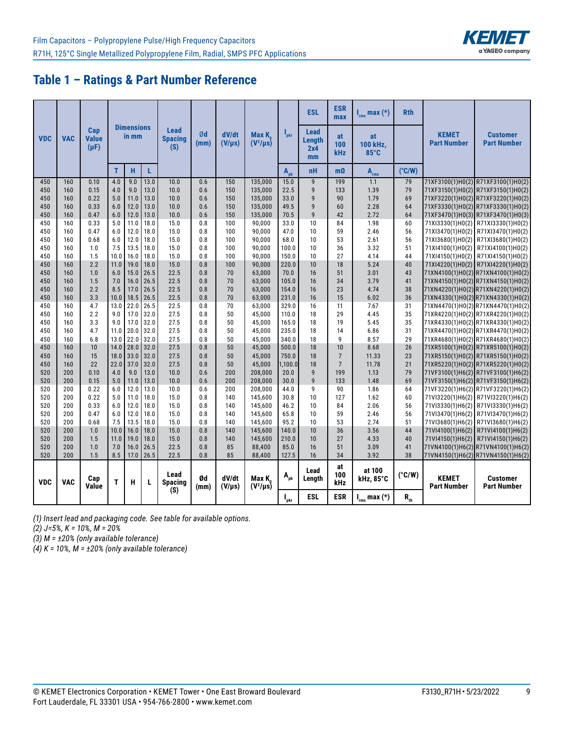# **Table 1 – Ratings & Part Number Reference**

|            |            |                                  |              |                            |              |                               |            |                      |                        |                           | <b>ESL</b>                                | <b>ESR</b><br>max | $I_{rms}$ max $(*)$            | <b>Rth</b>      |                                    |                                                                          |
|------------|------------|----------------------------------|--------------|----------------------------|--------------|-------------------------------|------------|----------------------|------------------------|---------------------------|-------------------------------------------|-------------------|--------------------------------|-----------------|------------------------------------|--------------------------------------------------------------------------|
| <b>VDC</b> | <b>VAC</b> | Cap<br><b>Value</b><br>$(\mu F)$ |              | <b>Dimensions</b><br>in mm |              | Lead<br><b>Spacing</b><br>(S) | Ød<br>(mm) | dV/dt<br>$(V/\mu s)$ | Max K<br>$(V^2/\mu s)$ | $\mathbf{l}_{\text{pkr}}$ | <b>Lead</b><br><b>Length</b><br>2x4<br>mm | at<br>100<br>kHz  | at<br>100 kHz,<br>$85^\circ$ C |                 | <b>KEMET</b><br><b>Part Number</b> | <b>Customer</b><br><b>Part Number</b>                                    |
|            |            |                                  | $\mathbf{T}$ | н                          | L            |                               |            |                      |                        | $A_{pk}$                  | <b>nH</b>                                 | $m\Omega$         | $A_{rms}$                      | $(^{\circ}C/W)$ |                                    |                                                                          |
| 450        | 160        | 0.10                             | 4.0          | 9.0                        | 13.0         | 10.0                          | 0.6        | 150                  | 135,000                | 15.0                      | $\overline{9}$                            | 199               | 1.1                            | 79              |                                    | 71XF3100(1)H0(2) R71XF3100(1)H0(2)                                       |
| 450        | 160        | 0.15                             | 4.0          | 9.0                        | 13.0         | 10.0                          | 0.6        | 150                  | 135,000                | 22.5                      | $\mathsf{g}$                              | 133               | 1.39                           | 79              |                                    | 71XF3150(1)H0(2) R71XF3150(1)H0(2)                                       |
| 450        | 160        | 0.22                             | 5.0          | 11.0                       | 13.0         | 10.0                          | 0.6        | 150                  | 135,000                | 33.0                      | 9                                         | 90                | 1.79                           | 69              |                                    | 71XF3220(1)H0(2) R71XF3220(1)H0(2)                                       |
| 450        | 160        | 0.33                             | 6.0          | 12.0                       | 13.0         | 10.0                          | 0.6        | 150                  | 135,000                | 49.5                      | $\overline{9}$                            | 60                | 2.28                           | 64              |                                    | 71XF3330(1)H0(2) R71XF3330(1)H0(2)                                       |
| 450        | 160        | 0.47                             | 6.0          | 12.0                       | 13.0         | 10.0                          | 0.6        | 150                  | 135,000                | 70.5                      | $\mathsf{g}$                              | 42                | 2.72                           | 64              |                                    | 71XF3470(1)H0(3) R71XF3470(1)H0(3)                                       |
| 450        | 160        | 0.33                             | 5.0          | 11.0                       | 18.0         | 15.0                          | 0.8        | 100                  | 90,000                 | 33.0                      | 10                                        | 84                | 1.98                           | 60              |                                    | 71XI3330(1)H0(2) R71XI3330(1)H0(2)                                       |
| 450        | 160        | 0.47                             | 6.0          | 12.0                       | 18.0         | 15.0                          | 0.8        | 100                  | 90,000                 | 47.0                      | 10                                        | 59                | 2.46                           | 56              |                                    | 71XI3470(1)H0(2)   R71XI3470(1)H0(2)                                     |
| 450        | 160        | 0.68                             | 6.0          | 12.0                       | 18.0         | 15.0                          | 0.8        | 100                  | 90,000                 | 68.0                      | 10                                        | 53                | 2.61                           | 56              |                                    | 71XI3680(1)H0(2) R71XI3680(1)H0(2)                                       |
| 450        | 160        | 1.0                              | 7.5          | 13.5                       | 18.0         | 15.0                          | 0.8        | 100                  | 90,000                 | 100.0                     | 10                                        | 36                | 3.32                           | 51              | 71XI4100(1)H0(2)                   | R71XI4100(1)H0(2)                                                        |
| 450        | 160        | 1.5                              | 10.0         | 16.0                       | 18.0         | 15.0                          | 0.8        | 100                  | 90,000                 | 150.0                     | 10                                        | 27                | 4.14                           | 44              |                                    | 71XI4150(1)H0(2) R71XI4150(1)H0(2)                                       |
| 450        | 160        | 2.2                              | 11.0         | 19.0                       | 18.0         | 15.0                          | 0.8        | 100                  | 90,000                 | 220.0                     | 10                                        | 18                | 5.24                           | 40              |                                    | 71XI4220(1)H0(2) R71XI4220(1)H0(2)                                       |
| 450        | 160        | 1.0                              | 6.0          | 15.0                       | 26.5         | 22.5                          | 0.8        | 70                   | 63,000                 | 70.0                      | 16                                        | 51                | 3.01                           | 43              |                                    | 71XN4100(1)H0(2) R71XN4100(1)H0(2)                                       |
| 450        | 160        | 1.5                              | 7.0          | 16.0                       | 26.5         | 22.5                          | 0.8        | 70                   | 63,000                 | 105.0                     | 16                                        | 34                | 3.79                           | 41              |                                    | 71XN4150(1)H0(2) R71XN4150(1)H0(2)                                       |
| 450        | 160        | 2.2                              | 8.5          | 17.0                       | 26.5         | 22.5                          | 0.8        | 70                   | 63,000                 | 154.0                     | 16                                        | 23                | 4.74                           | 38              |                                    | 71XN4220(1)H0(2)R71XN4220(1)H0(2)                                        |
| 450        | 160        | 3.3                              | 10.0         | 18.5<br>22.0               | 26.5         | 22.5                          | 0.8        | 70                   | 63,000                 | 231.0                     | 16                                        | 15                | 6.02                           | 36              |                                    | 71XN4330(1)H0(2)R71XN4330(1)H0(2)                                        |
| 450        | 160        | 4.7                              | 13.0         |                            | 26.5         | 22.5                          | 0.8        | 70                   | 63,000                 | 329.0                     | 16                                        | 11                | 7.67                           | 31              |                                    | 71XN4470(1)H0(2)R71XN4470(1)H0(2)                                        |
| 450        | 160<br>160 | 2.2                              | 9.0<br>9.0   | 17.0                       | 32.0         | 27.5                          | 0.8        | 50                   | 45,000                 | 110.0                     | 18<br>18                                  | 29                | 4.45<br>5.45                   | 35<br>35        |                                    | 71XR4220(1)H0(2) R71XR4220(1)H0(2)                                       |
| 450<br>450 | 160        | 3.3<br>4.7                       | 11.0         | 17.0<br>20.0               | 32.0<br>32.0 | 27.5<br>27.5                  | 0.8<br>0.8 | 50<br>50             | 45,000                 | 165.0<br>235.0            | 18                                        | 19<br>14          | 6.86                           | 31              |                                    | 71XR4330(1)H0(2)R71XR4330(1)H0(2)                                        |
| 450        | 160        | 6.8                              | 13.0         | 22.0                       | 32.0         | 27.5                          | 0.8        | 50                   | 45,000<br>45,000       | 340.0                     | 18                                        | 9                 | 8.57                           | 29              |                                    | 71XR4470(1)H0(2) R71XR4470(1)H0(2)<br>71XR4680(1)H0(2) R71XR4680(1)H0(2) |
| 450        | 160        | 10                               | 14.0         | 28.0                       | 32.0         | 27.5                          | 0.8        | 50                   | 45,000                 | 500.0                     | 18                                        | 10                | 8.68                           | 26              |                                    | 71XR5100(1)H0(2) R71XR5100(1)H0(2)                                       |
| 450        | 160        | 15                               | 18.0         | 33.0                       | 32.0         | 27.5                          | 0.8        | 50                   | 45,000                 | 750.0                     | 18                                        | $\overline{7}$    | 11.33                          | 23              |                                    | 71XR5150(1)H0(2) R71XR5150(1)H0(2)                                       |
| 450        | 160        | 22                               | 22.0         | 37.0                       | 32.0         | 27.5                          | 0.8        | 50                   | 45,000                 | 1,100.0                   | 18                                        | $7\overline{ }$   | 11.78                          | 21              |                                    | 71XR5220(1)H0(2) R71XR5220(1)H0(2)                                       |
| 520        | 200        | 0.10                             | 4.0          | 9.0                        | 13.0         | 10.0                          | 0.6        | 200                  | 208,000                | 20.0                      | 9                                         | 199               | 1.13                           | 79              |                                    | 71VF3100(1)H6(2) R71VF3100(1)H6(2)                                       |
| 520        | 200        | 0.15                             | 5.0          | 11.0                       | 13.0         | 10.0                          | 0.6        | 200                  | 208,000                | 30.0                      | $\mathsf{g}$                              | 133               | 1.48                           | 69              |                                    | 71VF3150(1)H6(2) R71VF3150(1)H6(2)                                       |
| 520        | 200        | 0.22                             | 6.0          | 12.0                       | 13.0         | 10.0                          | 0.6        | 200                  | 208,000                | 44.0                      | 9                                         | 90                | 1.86                           | 64              |                                    | 71VF3220(1)H6(2) R71VF3220(1)H6(2)                                       |
| 520        | 200        | 0.22                             | 5.0          | 11.0                       | 18.0         | 15.0                          | 0.8        | 140                  | 145,600                | 30.8                      | 10                                        | 127               | 1.62                           | 60              |                                    | 71VI3220(1)H6(2) R71VI3220(1)H6(2)                                       |
| 520        | 200        | 0.33                             | 6.0          | 12.0                       | 18.0         | 15.0                          | 0.8        | 140                  | 145,600                | 46.2                      | 10                                        | 84                | 2.06                           | 56              |                                    | 71VI3330(1)H6(2) R71VI3330(1)H6(2)                                       |
| 520        | 200        | 0.47                             | 6.0          | 12.0                       | 18.0         | 15.0                          | 0.8        | 140                  | 145,600                | 65.8                      | 10                                        | 59                | 2.46                           | 56              |                                    | 71VI3470(1)H6(2) R71VI3470(1)H6(2)                                       |
| 520        | 200        | 0.68                             | 7.5          | 13.5                       | 18.0         | 15.0                          | 0.8        | 140                  | 145.600                | 95.2                      | 10                                        | 53                | 2.74                           | 51              |                                    | 71VI3680(1)H6(2) R71VI3680(1)H6(2)                                       |
| 520        | 200        | 1.0                              | 10.0         | 16.0                       | 18.0         | 15.0                          | 0.8        | 140                  | 145,600                | 140.0                     | 10                                        | 36                | 3.56                           | 44              |                                    | 71VI4100(1)H6(2) R71VI4100(1)H6(2)                                       |
| 520        | 200        | 1.5                              | 11.0         | 19.0                       | 18.0         | 15.0                          | 0.8        | 140                  | 145.600                | 210.0                     | 10                                        | 27                | 4.33                           | 40              |                                    | 71VI4150(1)H6(2) R71VI4150(1)H6(2)                                       |
| 520        | 200        | 1.0                              | 7.0          | 16.0                       | 26.5         | 22.5                          | 0.8        | 85                   | 88,400                 | 85.0                      | 16                                        | 51                | 3.09                           | 41              |                                    | 71VN4100(1)H6(2) R71VN4100(1)H6(2)                                       |
| 520        | 200        | 1.5                              | 8.5          | 17.0                       | 26.5         | 22.5                          | 0.8        | 85                   | 88,400                 | 127.5                     | 16                                        | 34                | 3.92                           | 38              |                                    | 71VN4150(1)H6(2)R71VN4150(1)H6(2)                                        |
| <b>VDC</b> | <b>VAC</b> | Cap<br>Value                     | т            | н                          | L            | Lead<br><b>Spacing</b><br>(S) | Ød<br>(mm) | dV/dt<br>$(V/\mu s)$ | Max K<br>$(V^2/\mu s)$ | $A_{pk}$                  | Lead<br>Length                            | at<br>100<br>kHz  | at 100<br>kHz, 85°C            | $(^{\circ}C/W)$ | <b>KEMET</b><br><b>Part Number</b> | <b>Customer</b><br><b>Part Number</b>                                    |
|            |            |                                  |              |                            |              |                               |            |                      |                        | $\mathbf{I}_{\text{pkr}}$ | <b>ESL</b>                                | <b>ESR</b>        | $I_{rms}$ max $(*)$            | $R_{\rm th}$    |                                    |                                                                          |

*(1) Insert lead and packaging code. See table for available options.*

*(2) J=5%, K = 10%, M = 20%*

*(3) M = ±20% (only available tolerance)*

*(4) K = 10%, M = ±20% (only available tolerance)*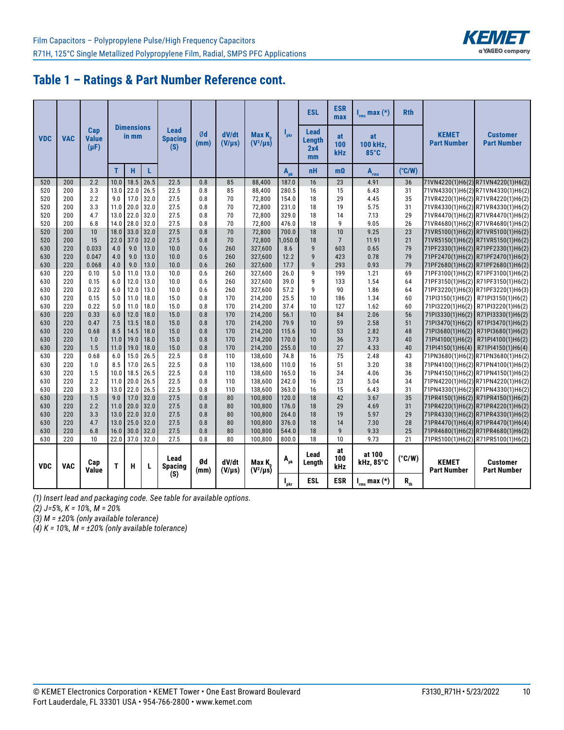

### **Table 1 – Ratings & Part Number Reference cont.**

|            |            |                                  |      |                            |      |                               |            |                      |                        |                           | <b>ESL</b>                         | <b>ESR</b><br>max | $I_{rms}$ max $(*)$    | <b>Rth</b>      |                                    |                                       |
|------------|------------|----------------------------------|------|----------------------------|------|-------------------------------|------------|----------------------|------------------------|---------------------------|------------------------------------|-------------------|------------------------|-----------------|------------------------------------|---------------------------------------|
| <b>VDC</b> | <b>VAC</b> | Cap<br><b>Value</b><br>$(\mu F)$ |      | <b>Dimensions</b><br>in mm |      | Lead<br><b>Spacing</b><br>(S) | Ød<br>(mm) | dV/dt<br>$(V/\mu s)$ | Max K<br>$(V^2/\mu s)$ | $\mathbf{l}_{\text{pkr}}$ | <b>Lead</b><br>Length<br>2x4<br>mm | at<br>100<br>kHz  | at<br>100 kHz,<br>85°C |                 | <b>KEMET</b><br><b>Part Number</b> | <b>Customer</b><br><b>Part Number</b> |
|            |            |                                  | T.   | H                          | L    |                               |            |                      |                        | $A_{nk}$                  | nH                                 | $m\Omega$         | $\mathbf{A}_{\rm rms}$ | $(^{\circ}C/W)$ |                                    |                                       |
| 520        | 200        | 2.2                              | 10.0 | 18.5                       | 26.5 | 22.5                          | 0.8        | 85                   | 88,400                 | 187.0                     | 16                                 | 23                | 4.91                   | 36              |                                    | 71VN4220(1)H6(2)R71VN4220(1)H6(2)     |
| 520        | 200        | 3.3                              | 13.0 | 22.0                       | 26.5 | 22.5                          | 0.8        | 85                   | 88.400                 | 280.5                     | 16                                 | 15                | 6.43                   | 31              |                                    | 71VN4330(1)H6(2)R71VN4330(1)H6(2)     |
| 520        | 200        | 2.2                              | 9.0  | 17.0                       | 32.0 | 27.5                          | 0.8        | 70                   | 72,800                 | 154.0                     | 18                                 | 29                | 4.45                   | 35              |                                    | 71VR4220(1)H6(2) R71VR4220(1)H6(2)    |
| 520        | 200        | 3.3                              | 11.0 | 20.0                       | 32.0 | 27.5                          | 0.8        | 70                   | 72,800                 | 231.0                     | 18                                 | 19                | 5.75                   | 31              |                                    | 71VR4330(1)H6(2) R71VR4330(1)H6(2)    |
| 520        | 200        | 4.7                              | 13.0 | 22.0                       | 32.0 | 27.5                          | 0.8        | 70                   | 72,800                 | 329.0                     | 18                                 | 14                | 7.13                   | 29              |                                    | 71VR4470(1)H6(2)R71VR4470(1)H6(2)     |
| 520        | 200        | 6.8                              | 14.0 | 28.0                       | 32.0 | 27.5                          | 0.8        | 70                   | 72,800                 | 476.0                     | 18                                 | 9                 | 9.05                   | 26              |                                    | 71VR4680(1)H6(2) R71VR4680(1)H6(2)    |
| 520        | 200        | 10                               | 18.0 | 33.0                       | 32.0 | 27.5                          | 0.8        | 70                   | 72,800                 | 700.0                     | 18                                 | 10                | 9.25                   | 23              |                                    | 71VR5100(1)H6(2) R71VR5100(1)H6(2)    |
| 520        | 200        | 15                               | 22.0 | 37.0                       | 32.0 | 27.5                          | 0.8        | 70                   | 72,800                 | 1,050.0                   | 18                                 | $7\overline{ }$   | 11.91                  | 21              |                                    | 71VR5150(1)H6(2) R71VR5150(1)H6(2)    |
| 630        | 220        | 0.033                            | 4.0  | 9.0                        | 13.0 | 10.0                          | 0.6        | 260                  | 327.600                | 8.6                       | $\mathbf{g}$                       | 603               | 0.65                   | 79              |                                    | 71PF2330(1)H6(2) R71PF2330(1)H6(2)    |
| 630        | 220        | 0.047                            | 4.0  | 9.0                        | 13.0 | 10.0                          | 0.6        | 260                  | 327,600                | 12.2                      | 9                                  | 423               | 0.78                   | 79              |                                    | 71PF2470(1)H6(2) R71PF2470(1)H6(2)    |
| 630        | 220        | 0.068                            | 4.0  | 9.0                        | 13.0 | 10.0                          | 0.6        | 260                  | 327,600                | 17.7                      | $\mathbf{g}$                       | 293               | 0.93                   | 79              |                                    | 71PF2680(1)H6(2) R71PF2680(1)H6(2)    |
| 630        | 220        | 0.10                             | 5.0  | 11.0                       | 13.0 | 10.0                          | 0.6        | 260                  | 327,600                | 26.0                      | 9                                  | 199               | 1.21                   | 69              |                                    | 71PF3100(1)H6(2) R71PF3100(1)H6(2)    |
| 630        | 220        | 0.15                             | 6.0  | 12.0                       | 13.0 | 10.0                          | 0.6        | 260                  | 327,600                | 39.0                      | 9                                  | 133               | 1.54                   | 64              |                                    | 71PF3150(1)H6(2) R71PF3150(1)H6(2)    |
| 630        | 220        | 0.22                             | 6.0  | 12.0                       | 13.0 | 10.0                          | 0.6        | 260                  | 327,600                | 57.2                      | 9                                  | 90                | 1.86                   | 64              |                                    | 71PF3220(1)H6(3) R71PF3220(1)H6(3)    |
| 630        | 220        | 0.15                             | 5.0  | 11.0                       | 18.0 | 15.0                          | 0.8        | 170                  | 214,200                | 25.5                      | 10                                 | 186               | 1.34                   | 60              |                                    | 71PI3150(1)H6(2) R71PI3150(1)H6(2)    |
| 630        | 220        | 0.22                             | 5.0  | 11.0                       | 18.0 | 15.0                          | 0.8        | 170                  | 214,200                | 37.4                      | 10                                 | 127               | 1.62                   | 60              |                                    | 71PI3220(1)H6(2) R71PI3220(1)H6(2)    |
| 630        | 220        | 0.33                             | 6.0  | 12.0                       | 18.0 | 15.0                          | 0.8        | 170                  | 214,200                | 56.1                      | 10                                 | 84                | 2.06                   | 56              |                                    | 71PI3330(1)H6(2) R71PI3330(1)H6(2)    |
| 630        | 220        | 0.47                             | 7.5  | 13.5                       | 18.0 | 15.0                          | 0.8        | 170                  | 214,200                | 79.9                      | 10                                 | 59                | 2.58                   | 51              |                                    | 71PI3470(1)H6(2) R71PI3470(1)H6(2)    |
| 630        | 220        | 0.68                             | 8.5  | 14.5                       | 18.0 | 15.0                          | 0.8        | 170                  | 214,200                | 115.6                     | 10                                 | 53                | 2.82                   | 48              |                                    | 71PI3680(1)H6(2) R71PI3680(1)H6(2)    |
| 630        | 220        | 1.0                              | 11.0 | 19.0                       | 18.0 | 15.0                          | 0.8        | 170                  | 214,200                | 170.0                     | 10                                 | 36                | 3.73                   | 40              |                                    | 71PI4100(1)H6(2) R71PI4100(1)H6(2)    |
| 630        | 220        | 1.5                              | 11.0 | 19.0                       | 18.0 | 15.0                          | 0.8        | 170                  | 214,200                | 255.0                     | 10                                 | 27                | 4.33                   | 40              |                                    | 71PI4150(1)H6(4) R71PI4150(1)H6(4)    |
| 630        | 220        | 0.68                             | 6.0  | 15.0                       | 26.5 | 22.5                          | 0.8        | 110                  | 138.600                | 74.8                      | 16                                 | 75                | 2.48                   | 43              |                                    | 71PN3680(1)H6(2)R71PN3680(1)H6(2)     |
| 630        | 220        | 1.0                              | 8.5  | 17.0                       | 26.5 | 22.5                          | 0.8        | 110                  | 138,600                | 110.0                     | 16                                 | 51                | 3.20                   | 38              |                                    | 71PN4100(1)H6(2)R71PN4100(1)H6(2)     |
| 630        | 220        | 1.5                              | 10.0 | 18.5                       | 26.5 | 22.5                          | 0.8        | 110                  | 138,600                | 165.0                     | 16                                 | 34                | 4.06                   | 36              |                                    | 71PN4150(1)H6(2) R71PN4150(1)H6(2)    |
| 630        | 220        | 2.2                              | 11.0 | 20.0                       | 26.5 | 22.5                          | 0.8        | 110                  | 138,600                | 242.0                     | 16                                 | 23                | 5.04                   | 34              |                                    | 71PN4220(1)H6(2)R71PN4220(1)H6(2)     |
| 630        | 220        | 3.3                              | 13.0 | 22.0                       | 26.5 | 22.5                          | 0.8        | 110                  | 138,600                | 363.0                     | 16                                 | 15                | 6.43                   | 31              |                                    | 71PN4330(1)H6(2)R71PN4330(1)H6(2)     |
| 630        | 220        | 1.5                              | 9.0  | 17.0                       | 32.0 | 27.5                          | 0.8        | 80                   | 100,800                | 120.0                     | 18                                 | 42                | 3.67                   | 35              |                                    | 71PR4150(1)H6(2) R71PR4150(1)H6(2)    |
| 630        | 220        | 2.2                              | 11.0 | 20.0                       | 32.0 | 27.5                          | 0.8        | 80                   | 100,800                | 176.0                     | 18                                 | 29                | 4.69                   | 31              |                                    | 71PR4220(1)H6(2) R71PR4220(1)H6(2)    |
| 630        | 220        | 3.3                              | 13.0 | 22.0                       | 32.0 | 27.5                          | 0.8        | 80                   | 100,800                | 264.0                     | 18                                 | 19                | 5.97                   | 29              |                                    | 71PR4330(1)H6(2) R71PR4330(1)H6(2)    |
| 630        | 220        | 4.7                              | 13.0 | 25.0                       | 32.0 | 27.5                          | 0.8        | 80                   | 100,800                | 376.0                     | 18                                 | 14                | 7.30                   | 28              |                                    | 71PR4470(1)H6(4) R71PR4470(1)H6(4)    |
| 630        | 220        | 6.8                              | 16.0 | 30.0                       | 32.0 | 27.5                          | 0.8        | 80                   | 100,800                | 544.0                     | 18                                 | 9                 | 9.33                   | 25              |                                    | 71PR4680(1)H6(2) R71PR4680(1)H6(2)    |
| 630        | 220        | 10                               | 22.0 | 37.0                       | 32.0 | 27.5                          | 0.8        | 80                   | 100,800                | 800.0                     | 18                                 | 10                | 9.73                   | 21              |                                    | 71PR5100(1)H6(2) R71PR5100(1)H6(2)    |
| <b>VDC</b> | <b>VAC</b> | Cap<br>Value                     | т    | н                          | L    | Lead<br><b>Spacing</b><br>(S) | Ød<br>(mm) | dV/dt<br>$(V/\mu s)$ | Max K<br>$(V^2/\mu s)$ | $A_{pk}$                  | Lead<br>Length                     | at<br>100<br>kHz  | at 100<br>kHz, 85°C    | $(^{\circ}C/W)$ | <b>KEMET</b><br><b>Part Number</b> | <b>Customer</b><br><b>Part Number</b> |
|            |            |                                  |      |                            |      |                               |            |                      |                        | $\mathbf{l}_{\text{pkr}}$ | <b>ESL</b>                         | <b>ESR</b>        | $I_{rms}$ max $(*)$    | $R_{\rm th}$    |                                    |                                       |

*(1) Insert lead and packaging code. See table for available options.*

*(2) J=5%, K = 10%, M = 20%*

*(3) M = ±20% (only available tolerance)*

*(4) K = 10%, M = ±20% (only available tolerance)*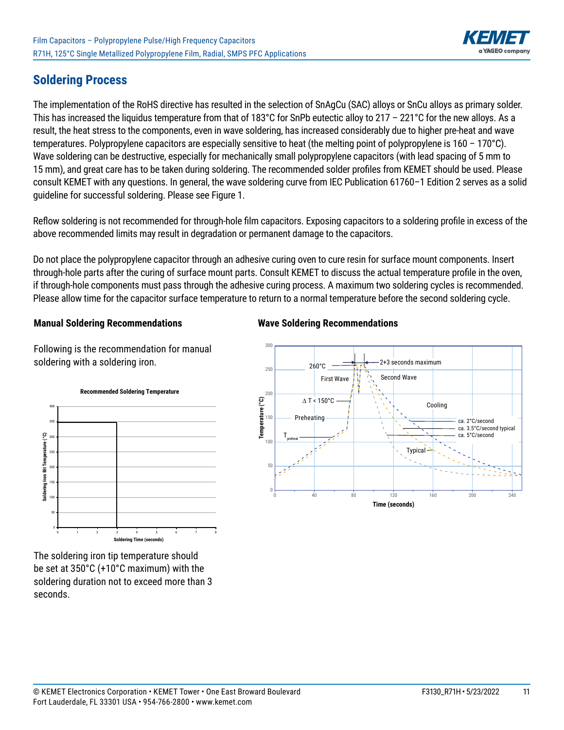

## **Soldering Process**

The implementation of the RoHS directive has resulted in the selection of SnAgCu (SAC) alloys or SnCu alloys as primary solder. This has increased the liquidus temperature from that of 183°C for SnPb eutectic alloy to 217 – 221°C for the new alloys. As a result, the heat stress to the components, even in wave soldering, has increased considerably due to higher pre-heat and wave temperatures. Polypropylene capacitors are especially sensitive to heat (the melting point of polypropylene is 160 – 170°C). Wave soldering can be destructive, especially for mechanically small polypropylene capacitors (with lead spacing of 5 mm to 15 mm), and great care has to be taken during soldering. The recommended solder profiles from KEMET should be used. Please consult KEMET with any questions. In general, the wave soldering curve from IEC Publication 61760–1 Edition 2 serves as a solid guideline for successful soldering. Please see Figure 1.

Reflow soldering is not recommended for through-hole film capacitors. Exposing capacitors to a soldering profile in excess of the above recommended limits may result in degradation or permanent damage to the capacitors.

Do not place the polypropylene capacitor through an adhesive curing oven to cure resin for surface mount components. Insert through-hole parts after the curing of surface mount parts. Consult KEMET to discuss the actual temperature profile in the oven, if through-hole components must pass through the adhesive curing process. A maximum two soldering cycles is recommended. Please allow time for the capacitor surface temperature to return to a normal temperature before the second soldering cycle.

#### **Manual Soldering Recommendations**

Following is the recommendation for manual soldering with a soldering iron.



**Wave Soldering Recommendations**



The soldering iron tip temperature should be set at 350°C (+10°C maximum) with the soldering duration not to exceed more than 3 seconds.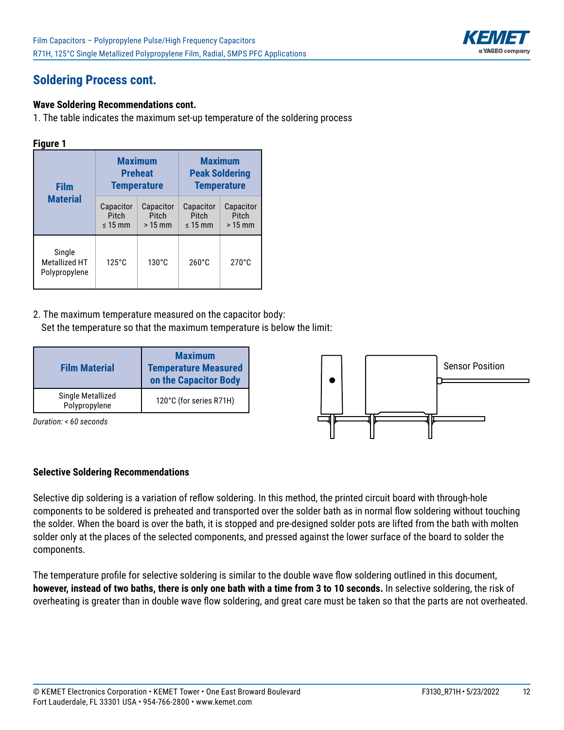

# **Soldering Process cont.**

#### **Wave Soldering Recommendations cont.**

1. The table indicates the maximum set-up temperature of the soldering process

#### **Figure 1**

| <b>Film</b>                                     |                                    | <b>Maximum</b><br><b>Preheat</b><br><b>Temperature</b> | <b>Maximum</b><br><b>Peak Soldering</b><br><b>Temperature</b> |                                |  |  |
|-------------------------------------------------|------------------------------------|--------------------------------------------------------|---------------------------------------------------------------|--------------------------------|--|--|
| <b>Material</b>                                 | Capacitor<br>Pitch<br>$\leq 15$ mm | Capacitor<br>Pitch<br>$>15$ mm                         | Capacitor<br><b>Pitch</b><br>$< 15$ mm                        | Capacitor<br>Pitch<br>$>15$ mm |  |  |
| Single<br><b>Metallized HT</b><br>Polypropylene | $125^\circ$ C                      | $130^{\circ}$ C                                        | $260^{\circ}$ C                                               | $270^\circ C$                  |  |  |

2. The maximum temperature measured on the capacitor body: Set the temperature so that the maximum temperature is below the limit:

| <b>Film Material</b>               | <b>Maximum</b><br><b>Temperature Measured</b><br>on the Capacitor Body |
|------------------------------------|------------------------------------------------------------------------|
| Single Metallized<br>Polypropylene | 120°C (for series R71H)                                                |

*Duration: < 60 seconds*



#### **Selective Soldering Recommendations**

Selective dip soldering is a variation of reflow soldering. In this method, the printed circuit board with through-hole components to be soldered is preheated and transported over the solder bath as in normal flow soldering without touching the solder. When the board is over the bath, it is stopped and pre-designed solder pots are lifted from the bath with molten solder only at the places of the selected components, and pressed against the lower surface of the board to solder the components.

The temperature profile for selective soldering is similar to the double wave flow soldering outlined in this document, **however, instead of two baths, there is only one bath with a time from 3 to 10 seconds.** In selective soldering, the risk of overheating is greater than in double wave flow soldering, and great care must be taken so that the parts are not overheated.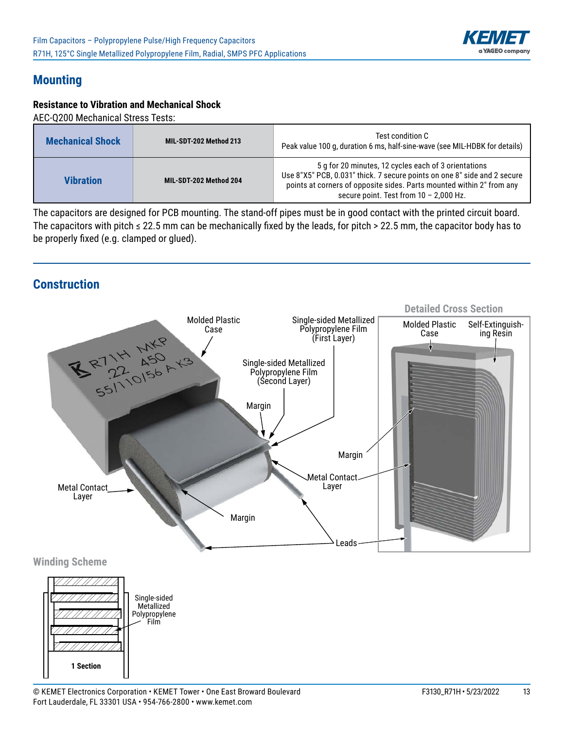

### **Mounting**

#### **Resistance to Vibration and Mechanical Shock**

AEC-Q200 Mechanical Stress Tests:

| <b>Mechanical Shock</b> | MIL-SDT-202 Method 213 | Test condition C<br>Peak value 100 g, duration 6 ms, half-sine-wave (see MIL-HDBK for details)                                                                                                                                                        |
|-------------------------|------------------------|-------------------------------------------------------------------------------------------------------------------------------------------------------------------------------------------------------------------------------------------------------|
| <b>Vibration</b>        | MIL-SDT-202 Method 204 | 5 g for 20 minutes, 12 cycles each of 3 orientations<br>Use 8"X5" PCB, 0.031" thick. 7 secure points on one 8" side and 2 secure<br>points at corners of opposite sides. Parts mounted within 2" from any<br>secure point. Test from $10 - 2,000$ Hz. |

The capacitors are designed for PCB mounting. The stand-off pipes must be in good contact with the printed circuit board. The capacitors with pitch  $\leq$  22.5 mm can be mechanically fixed by the leads, for pitch > 22.5 mm, the capacitor body has to be properly fixed (e.g. clamped or glued).

#### **Construction**



Film

**1 Section**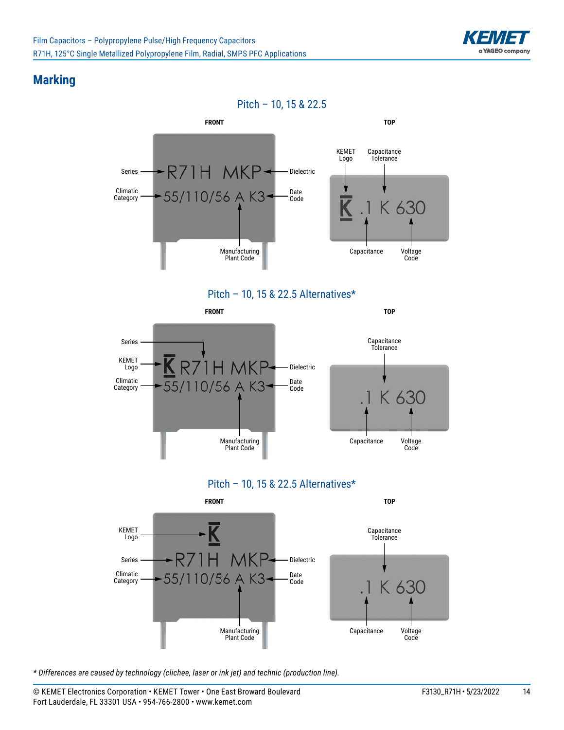

### **Marking**











*\* Differences are caused by technology (clichee, laser or ink jet) and technic (production line).*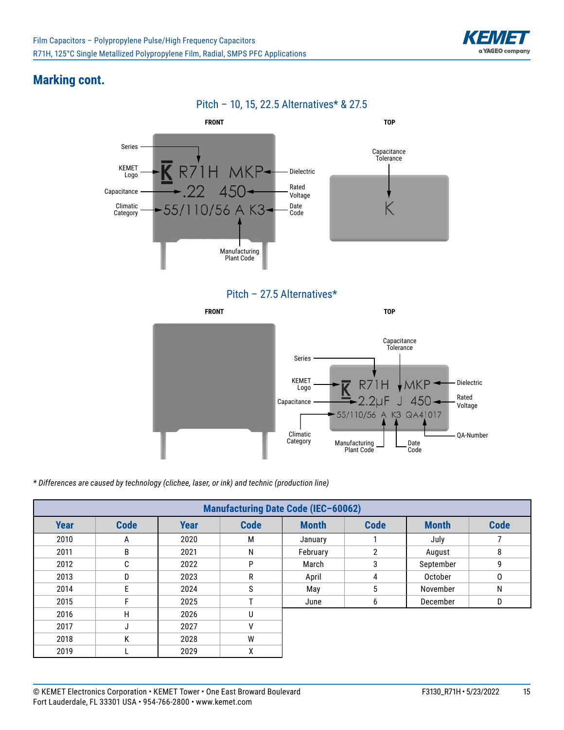

## **Marking cont.**



Pitch – 27.5 Alternatives\*



*\* Differences are caused by technology (clichee, laser, or ink) and technic (production line)*

|             | <b>Manufacturing Date Code (IEC-60062)</b> |             |             |              |             |              |             |  |  |  |  |  |  |
|-------------|--------------------------------------------|-------------|-------------|--------------|-------------|--------------|-------------|--|--|--|--|--|--|
| <b>Year</b> | <b>Code</b>                                | <b>Year</b> | <b>Code</b> | <b>Month</b> | <b>Code</b> | <b>Month</b> | <b>Code</b> |  |  |  |  |  |  |
| 2010        | A                                          | 2020        | M           | January      |             | July         |             |  |  |  |  |  |  |
| 2011        | B                                          | 2021        | N           | February     | 2           | August       | 8           |  |  |  |  |  |  |
| 2012        | C                                          | 2022        | P           | March        | 3           | September    | 9           |  |  |  |  |  |  |
| 2013        | D                                          | 2023        | R           | April        | 4           | October      | 0           |  |  |  |  |  |  |
| 2014        | F                                          | 2024        | S           | May          | 5           | November     | N           |  |  |  |  |  |  |
| 2015        |                                            | 2025        |             | June         | 6           | December     | D           |  |  |  |  |  |  |
| 2016        | H                                          | 2026        | U           |              |             |              |             |  |  |  |  |  |  |
| 2017        | J                                          | 2027        | v           |              |             |              |             |  |  |  |  |  |  |
| 2018        | K                                          | 2028        | W           |              |             |              |             |  |  |  |  |  |  |
| 2019        |                                            | 2029        | χ           |              |             |              |             |  |  |  |  |  |  |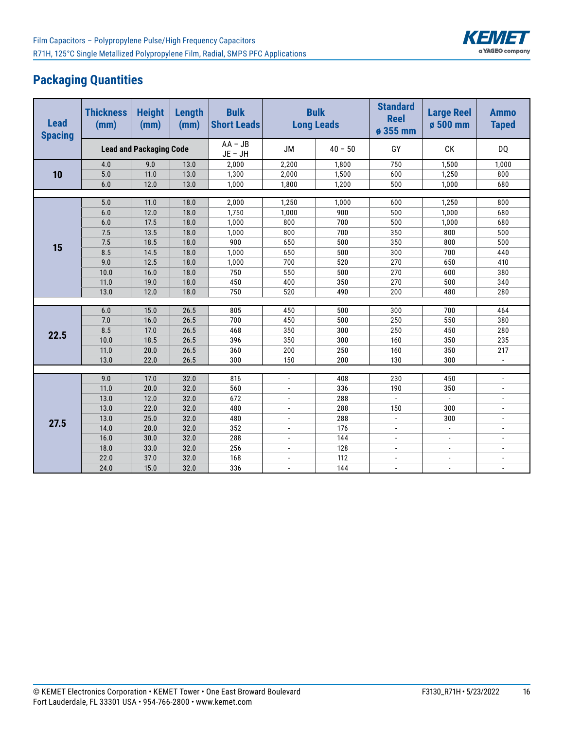

# **Packaging Quantities**

| <b>Lead</b><br><b>Spacing</b> | <b>Thickness</b><br><b>Height</b><br>(mm)<br>(mm) |                                | Length<br>(mm) | <b>Bulk</b><br><b>Short Leads</b> |                          | <b>Bulk</b><br><b>Long Leads</b> |                          | <b>Large Reel</b><br>ø 500 mm | <b>Ammo</b><br><b>Taped</b> |
|-------------------------------|---------------------------------------------------|--------------------------------|----------------|-----------------------------------|--------------------------|----------------------------------|--------------------------|-------------------------------|-----------------------------|
|                               |                                                   | <b>Lead and Packaging Code</b> |                | $AA - JB$<br>$JE - JH$            | <b>JM</b>                | $40 - 50$                        | GY                       | СK                            | <b>DQ</b>                   |
|                               | 4.0                                               | 9.0                            | 13.0           | 2,000                             | 2,200                    | 1,800                            | 750                      | 1,500                         | 1,000                       |
| 10                            | 5.0                                               | 11.0                           | 13.0           | 1,300                             | 2,000                    | 1,500                            | 600                      | 1,250                         | 800                         |
|                               | 6.0                                               | 12.0                           | 13.0           | 1,000                             | 1,800                    | 1,200                            | 500                      | 1,000                         | 680                         |
|                               |                                                   |                                |                |                                   |                          |                                  |                          |                               |                             |
|                               | 5.0                                               | 11.0                           | 18.0           | 2,000                             | 1,250                    | 1,000                            | 600                      | 1,250                         | 800                         |
|                               | 6.0                                               | 12.0                           | 18.0           | 1,750                             | 1,000                    | 900                              | 500                      | 1,000                         | 680                         |
|                               | 6.0                                               | 17.5                           | 18.0           | 1,000                             | 800                      | 700                              | 500                      | 1,000                         | 680                         |
|                               | 7.5                                               | 13.5                           | 18.0           | 1,000                             | 800                      | 700                              | 350                      | 800                           | 500                         |
| 15                            | 7.5                                               | 18.5                           | 18.0           | 900                               | 650                      | 500                              | 350                      | 800                           | 500                         |
|                               | 8.5                                               | 14.5                           | 18.0           | 1,000                             | 650                      | 500                              | 300                      | 700                           | 440                         |
|                               | 9.0                                               | 12.5                           | 18.0           | 1,000                             | 700                      | 520                              | 270                      | 650                           | 410                         |
|                               | 10.0                                              | 16.0                           | 18.0           | 750                               | 550                      | 500                              | 270                      | 600                           | 380                         |
|                               | 11.0                                              | 19.0                           | 18.0           | 450                               | 400                      | 350                              | 270                      | 500                           | 340                         |
|                               | 13.0                                              | 12.0                           | 18.0           | 750                               | 520                      | 490                              | 200                      | 480                           | 280                         |
|                               |                                                   |                                |                |                                   |                          |                                  |                          |                               |                             |
|                               | 6.0                                               | 15.0                           | 26.5           | 805                               | 450                      | 500                              | 300                      | 700                           | 464                         |
|                               | 7.0                                               | 16.0                           | 26.5           | 700                               | 450                      | 500                              | 250                      | 550                           | 380                         |
| 22.5                          | 8.5                                               | 17.0                           | 26.5           | 468                               | 350                      | 300                              | 250                      | 450                           | 280                         |
|                               | 10.0                                              | 18.5                           | 26.5           | 396                               | 350                      | 300                              | 160                      | 350                           | 235                         |
|                               | 11.0                                              | 20.0                           | 26.5           | 360                               | 200                      | 250                              | 160                      | 350                           | 217                         |
|                               | 13.0                                              | 22.0                           | 26.5           | 300                               | 150                      | 200                              | 130                      | 300                           | $\blacksquare$              |
|                               |                                                   |                                |                |                                   |                          |                                  |                          |                               |                             |
|                               | 9.0                                               | 17.0                           | 32.0           | 816                               | $\overline{\phantom{a}}$ | 408                              | 230                      | 450                           | $\blacksquare$              |
|                               | 11.0                                              | 20.0                           | 32.0           | 560                               | $\blacksquare$           | 336                              | 190                      | 350                           | $\overline{a}$              |
|                               | 13.0                                              | 12.0                           | 32.0           | 672                               | $\blacksquare$           | 288                              | $\overline{\phantom{a}}$ | $\overline{\phantom{a}}$      | $\overline{\phantom{a}}$    |
|                               | 13.0                                              | 22.0                           | 32.0           | 480                               | $\blacksquare$           | 288                              | 150                      | 300                           | $\overline{\phantom{a}}$    |
| 27.5                          | 13.0                                              | 25.0                           | 32.0           | 480                               | $\blacksquare$           | 288                              | $\overline{\phantom{a}}$ | 300                           | $\overline{a}$              |
|                               | 14.0                                              | 28.0                           | 32.0           | 352                               | $\blacksquare$           | 176                              | $\overline{\phantom{a}}$ | $\overline{\phantom{a}}$      | $\overline{a}$              |
|                               | 16.0                                              | 30.0                           | 32.0           | 288                               | $\overline{\phantom{a}}$ | 144                              | $\overline{\phantom{a}}$ | $\overline{\phantom{a}}$      | $\overline{a}$              |
|                               | 18.0                                              | 33.0                           | 32.0           | 256                               | $\overline{\phantom{a}}$ | 128                              | $\overline{a}$           | $\overline{a}$                |                             |
|                               | 22.0                                              | 37.0                           | 32.0           | 168                               | $\blacksquare$           | 112                              | $\overline{a}$           | $\overline{a}$                |                             |
|                               | 24.0                                              | 15.0                           | 32.0           | 336                               | $\overline{a}$           | 144                              | $\overline{a}$           | $\overline{a}$                | $\overline{a}$              |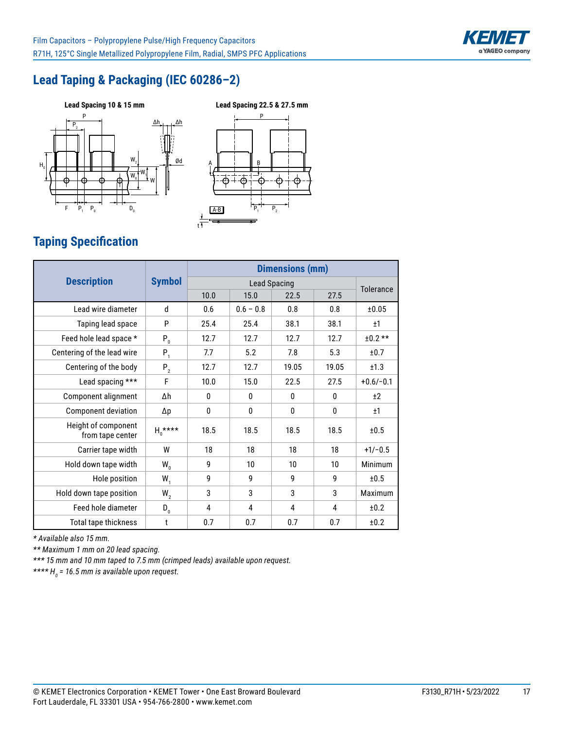

# **Lead Taping & Packaging (IEC 60286–2)**





# **Taping Specification**

| <b>Description</b>                      | <b>Symbol</b> | <b>Dimensions (mm)</b> |              |          |       |             |
|-----------------------------------------|---------------|------------------------|--------------|----------|-------|-------------|
|                                         |               | <b>Lead Spacing</b>    |              |          |       | Tolerance   |
|                                         |               | 10.0                   | 15.0         | 22.5     | 27.5  |             |
| Lead wire diameter                      | d             | 0.6                    | $0.6 - 0.8$  | 0.8      | 0.8   | ±0.05       |
| Taping lead space                       | P             | 25.4                   | 25.4         | 38.1     | 38.1  | ±1          |
| Feed hole lead space *                  | $P_0$         | 12.7                   | 12.7         | 12.7     | 12.7  | $±0.2**$    |
| Centering of the lead wire              | $P_1$         | 7.7                    | 5.2          | 7.8      | 5.3   | ±0.7        |
| Centering of the body                   | $P_2$         | 12.7                   | 12.7         | 19.05    | 19.05 | ±1.3        |
| Lead spacing ***                        | F             | 10.0                   | 15.0         | 22.5     | 27.5  | $+0.6/-0.1$ |
| Component alignment                     | Δh            | 0                      | $\mathbf{0}$ | $\Omega$ | 0     | $+2$        |
| Component deviation                     | Δp            | 0                      | 0            | 0        | 0     | ±1          |
| Height of component<br>from tape center | $H_0$ ****    | 18.5                   | 18.5         | 18.5     | 18.5  | ±0.5        |
| Carrier tape width                      | W             | 18                     | 18           | 18       | 18    | $+1/-0.5$   |
| Hold down tape width                    | $W_{n}$       | 9                      | 10           | 10       | 10    | Minimum     |
| Hole position                           | $W_{1}$       | 9                      | 9            | 9        | 9     | ±0.5        |
| Hold down tape position                 | $W_{2}$       | 3                      | 3            | 3        | 3     | Maximum     |
| Feed hole diameter                      | $D_{0}$       | 4                      | 4            | 4        | 4     | ±0.2        |
| Total tape thickness                    | t             | 0.7                    | 0.7          | 0.7      | 0.7   | ±0.2        |

t

*\* Available also 15 mm.*

*\*\* Maximum 1 mm on 20 lead spacing.*

*\*\*\* 15 mm and 10 mm taped to 7.5 mm (crimped leads) available upon request.*

*\*\*\*\* H0 = 16.5 mm is available upon request.*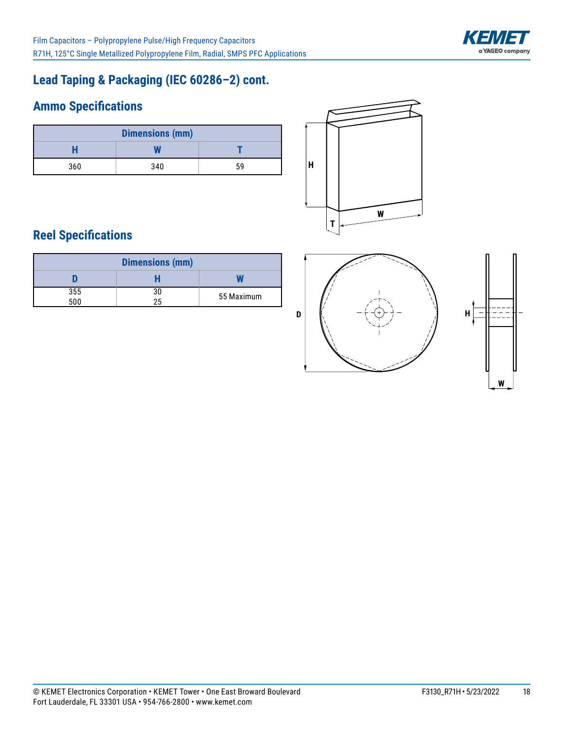

# **Lead Taping & Packaging (IEC 60286–2) cont.**

# **Ammo Specifications**

| <b>Dimensions (mm)</b> |     |    |  |  |  |
|------------------------|-----|----|--|--|--|
|                        |     |    |  |  |  |
| 360                    | 340 | 59 |  |  |  |



# **Reel Specifications**

| <b>Dimensions (mm)</b> |    |            |  |  |  |
|------------------------|----|------------|--|--|--|
|                        |    |            |  |  |  |
| 355                    | 30 | 55 Maximum |  |  |  |